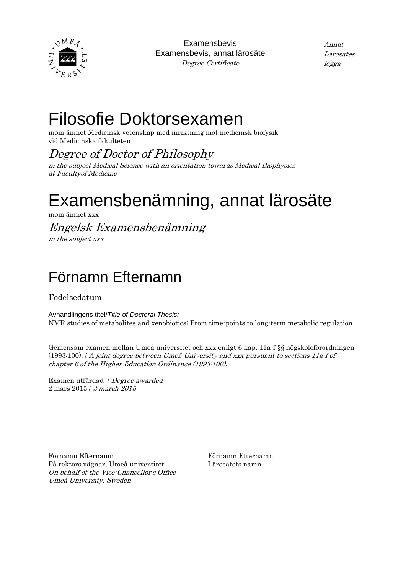

Examensbevis Examensbevis, annat lärosäte Degree Certificate

Annat Lärosätes logga

## Filosofie Doktorsexamen

inom ämnet Medicinsk vetenskap med inriktning mot medicinsk biofysik vid Medicinska fakulteten

#### Degree of Doctor of Philosophy

in the subject Medical Science with an orientation towards Medical Biophysics at Facultyof Medicine

# Examensbenämning, annat lärosäte

inom ämnet xxx

### Engelsk Examensbenämning

in the subject xxx

#### Förnamn Efternamn

Födelsedatum

Avhandlingens titel/*Title of Doctoral Thesis:* NMR studies of metabolites and xenobiotics: From time-points to long-term metabolic regulation

Gemensam examen mellan Umeå universitet och xxx enligt 6 kap. 11a-f §§ högskoleförordningen (1993:100). / A joint degree between Umeå University and xxx pursuant to sections 11a-f of chapter 6 of the Higher Education Ordinance (1993:100).

Examen utfärdad / Degree awarded 2 mars 2015 / 3 march 2015

Förnamn Efternamn På rektors vägnar, Umeå universitet On behalf of the Vice-Chancellor's Office Umeå University, Sweden

Förnamn Efternamn Lärosätets namn